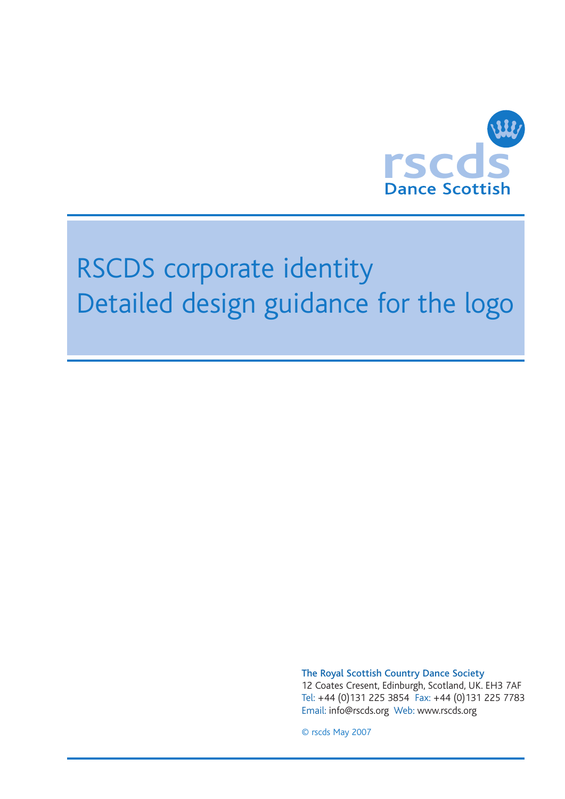

## RSCDS corporate identity Detailed design guidance for the logo

The Royal Scottish Country Dance Society

12 Coates Cresent, Edinburgh, Scotland, UK. EH3 7AF Tel: +44 (0)131 225 3854 Fax: +44 (0)131 225 7783 Email: info@rscds.org Web: www.rscds.org

© rscds May 2007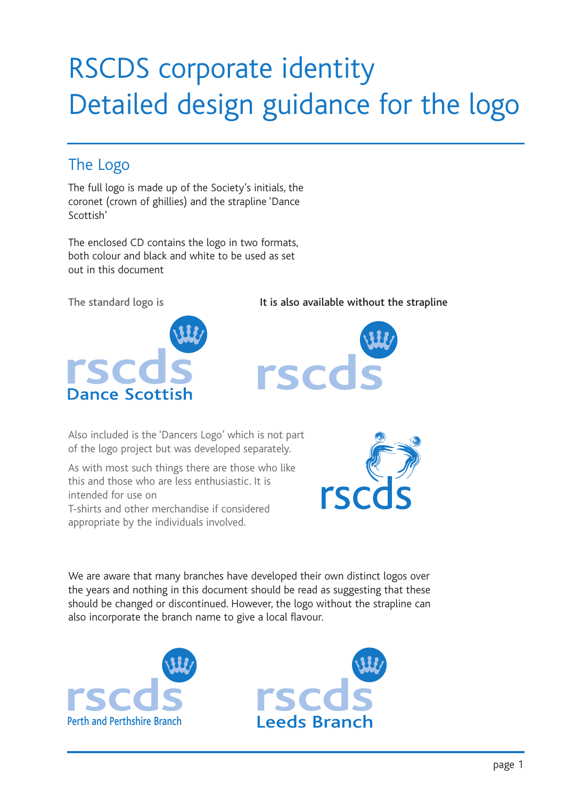# RSCDS corporate identity Detailed design guidance for the logo

### The Logo

The full logo is made up of the Society's initials, the coronet (crown of ghillies) and the strapline 'Dance Scottish'

The enclosed CD contains the logo in two formats, both colour and black and white to be used as set out in this document

The standard logo is



It is also available without the strapline



Also included is the 'Dancers Logo' which is not part of the logo project but was developed separately.

As with most such things there are those who like this and those who are less enthusiastic. It is intended for use on

T-shirts and other merchandise if considered appropriate by the individuals involved.



We are aware that many branches have developed their own distinct logos over the years and nothing in this document should be read as suggesting that these should be changed or discontinued. However, the logo without the strapline can also incorporate the branch name to give a local flavour.



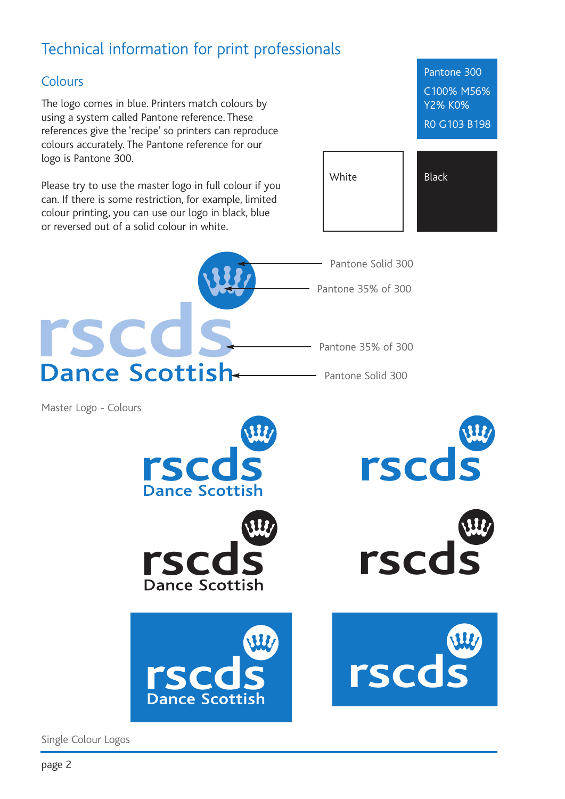## Technical information for print professionals

#### Colours

The logo comes in blue. Printers match colours by using a system called Pantone reference. These references give the 'recipe' so printers can reproduce colours accurately. The Pantone reference for our logo is Pantone 300.

Please try to use the master logo in full colour if you can. If there is some restriction, for example, limited colour printing, you can use our logo in black, blue or reversed out of a solid colour in white.

Pantone 300 C100% M56% Y2% K0% R0 G103 B198





Master Logo - Colours













Single Colour Logos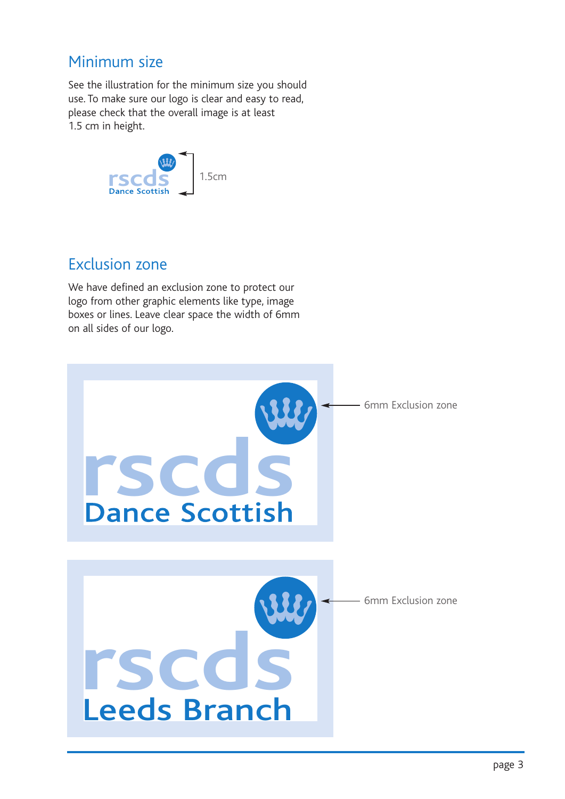#### Minimum size

See the illustration for the minimum size you should use. To make sure our logo is clear and easy to read, please check that the overall image is at least 1.5 cm in height.



#### Exclusion zone

We have defined an exclusion zone to protect our logo from other graphic elements like type, image boxes or lines. Leave clear space the width of 6mm on all sides of our logo.

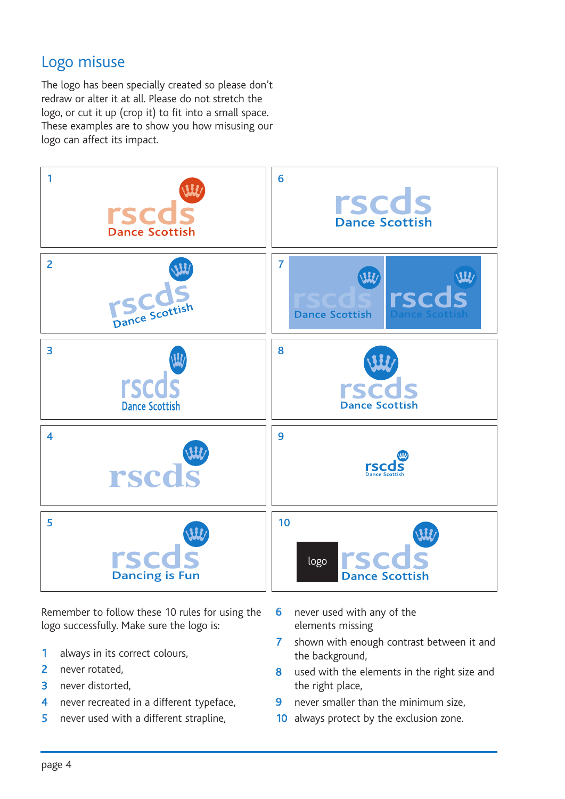#### Logo misuse

The logo has been specially created so please don't redraw or alter it at all. Please do not stretch the logo, or cut it up (crop it) to fit into a small space. These examples are to show you how misusing our logo can affect its impact.



Remember to follow these 10 rules for using the logo successfully. Make sure the logo is:

- end<br>burs 1 always in its correct colours,
- 2 never rotated,
- 3 never distorted,
- 4 never recreated in a different typeface,
- 5 never used with a different strapline,
- 6 never used with any of the elements missing
- 7 shown with enough contrast between it and the background,
- 8 used with the elements in the right size and the right place,
- 9 never smaller than the minimum size,
- 10 always protect by the exclusion zone.